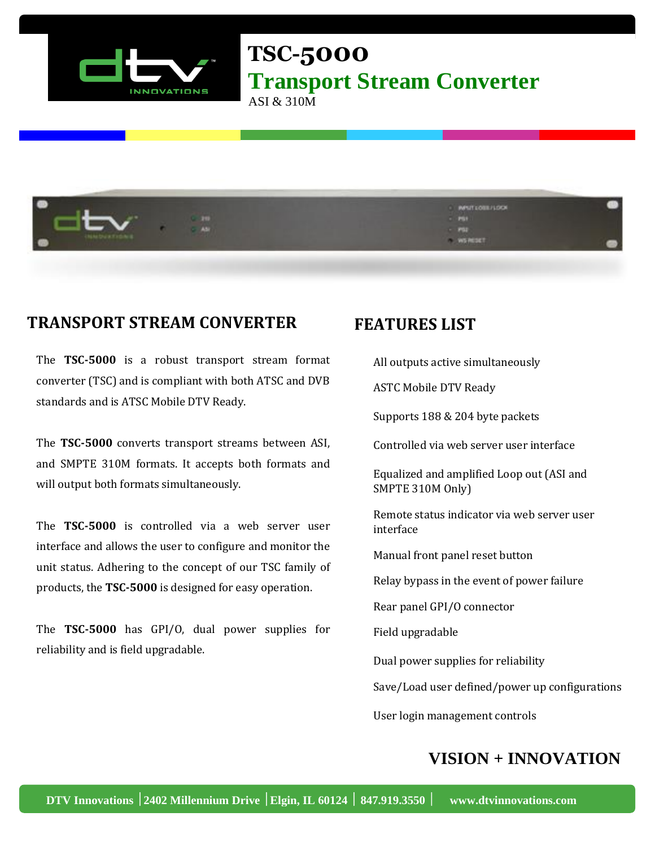

**TSC-5000 Transport Stream Converter**

ASI & 310M



## **TRANSPORT STREAM CONVERTER**

The **TSC-5000** is a robust transport stream format converter (TSC) and is compliant with both ATSC and DVB standards and is ATSC Mobile DTV Ready.

The **TSC-5000** converts transport streams between ASI, and SMPTE 310M formats. It accepts both formats and will output both formats simultaneously.

The **TSC-5000** is controlled via a web server user interface and allows the user to configure and monitor the unit status. Adhering to the concept of our TSC family of products, the **TSC-5000** is designed for easy operation.

The **TSC-5000** has GPI/O, dual power supplies for reliability and is field upgradable.

## **FEATURES LIST**

All outputs active simultaneously

ASTC Mobile DTV Ready

Supports 188 & 204 byte packets

Controlled via web server user interface

 Equalized and amplified Loop out (ASI and SMPTE 310M Only)

 Remote status indicator via web server user interface

Manual front panel reset button

Relay bypass in the event of power failure

Rear panel GPI/O connector

Field upgradable

Dual power supplies for reliability

Save/Load user defined/power up configurations

User login management controls

## **VISION + INNOVATION**